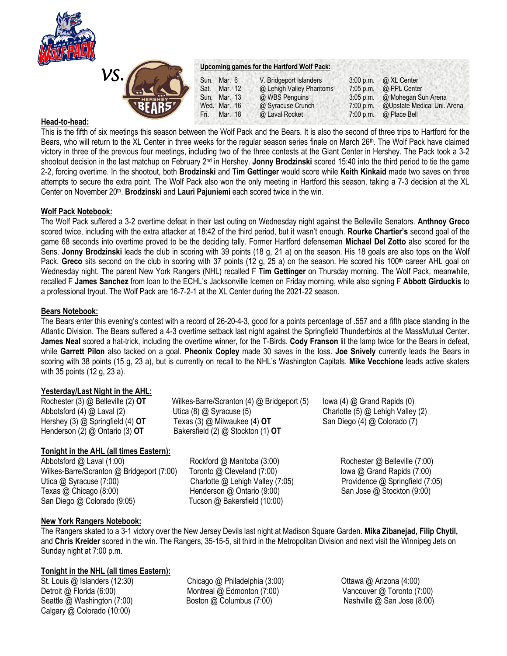



#### **Upcoming games for the Hartford Wolf Pack:**

| JKJ<br>'HERSHEY-<br>BEAR5 <sup>y</sup> | Sun. Mar. 6<br>Sat. Mar. 12<br>Sun. Mar. 13<br>Wed. Mar. 16<br>Mar. 18<br>Fri. | V. Bridgeport Islanders<br>@ Lehigh Valley Phantoms<br>@ WBS Penguins<br>@ Syracuse Crunch<br>@ Laval Rocket | $3:05$ p.m.<br>7:00 p.m. | 3:00 p.m. @ XL Center<br>7:05 p.m. $\omega$ PPL Center<br>@ Mohegan Sun Arena<br>@Upstate Medical Uni. Arena<br>$7:00$ p.m. $\omega$ Place Bell |
|----------------------------------------|--------------------------------------------------------------------------------|--------------------------------------------------------------------------------------------------------------|--------------------------|-------------------------------------------------------------------------------------------------------------------------------------------------|
|                                        |                                                                                |                                                                                                              |                          |                                                                                                                                                 |
|                                        |                                                                                |                                                                                                              |                          |                                                                                                                                                 |

## **Head-to-head:**

This is the fifth of six meetings this season between the Wolf Pack and the Bears. It is also the second of three trips to Hartford for the Bears, who will return to the XL Center in three weeks for the regular season series finale on March 26th. The Wolf Pack have claimed victory in three of the previous four meetings, including two of the three contests at the Giant Center in Hershey. The Pack took a 3-2 shootout decision in the last matchup on February 2nd in Hershey. **Jonny Brodzinski** scored 15:40 into the third period to tie the game 2-2, forcing overtime. In the shootout, both **Brodzinski** and **Tim Gettinger** would score while **Keith Kinkaid** made two saves on three attempts to secure the extra point. The Wolf Pack also won the only meeting in Hartford this season, taking a 7-3 decision at the XL Center on November 20<sup>th</sup>. **Brodzinski** and Lauri Pajuniemi each scored twice in the win.

## **Wolf Pack Notebook:**

The Wolf Pack suffered a 3-2 overtime defeat in their last outing on Wednesday night against the Belleville Senators. **Anthnoy Greco** scored twice, including with the extra attacker at 18:42 of the third period, but it wasn't enough. **Rourke Chartier's** second goal of the game 68 seconds into overtime proved to be the deciding tally. Former Hartford defenseman **Michael Del Zotto** also scored for the Sens. **Jonny Brodzinski** leads the club in scoring with 39 points (18 g, 21 a) on the season. His 18 goals are also tops on the Wolf Pack. Greco sits second on the club in scoring with 37 points (12 g, 25 a) on the season. He scored his 100<sup>th</sup> career AHL goal on Wednesday night. The parent New York Rangers (NHL) recalled F **Tim Gettinger** on Thursday morning. The Wolf Pack, meanwhile, recalled F **James Sanchez** from loan to the ECHL's Jacksonville Icemen on Friday morning, while also signing F **Abbott Girduckis** to a professional tryout. The Wolf Pack are 16-7-2-1 at the XL Center during the 2021-22 season.

#### **Bears Notebook:**

The Bears enter this evening's contest with a record of 26-20-4-3, good for a points percentage of .557 and a fifth place standing in the Atlantic Division. The Bears suffered a 4-3 overtime setback last night against the Springfield Thunderbirds at the MassMutual Center. **James Neal** scored a hat-trick, including the overtime winner, for the T-Birds. **Cody Franson** lit the lamp twice for the Bears in defeat, while **Garrett Pilon** also tacked on a goal. **Pheonix Copley** made 30 saves in the loss. **Joe Snively** currently leads the Bears in scoring with 38 points (15 g, 23 a), but is currently on recall to the NHL's Washington Capitals. **Mike Vecchione** leads active skaters with 35 points (12 g, 23 a).

## **Yesterday/Last Night in the AHL:**

Rochester (3) @ Belleville (2) **OT** Wilkes-Barre/Scranton (4) @ Bridgeport (5) Iowa (4) @ Grand Rapids (0) Abbotsford (4) @ Laval (2) Utica (8) @ Syracuse (5) Charlotte (5) @ Lehigh Valley (2) Hershey (3) @ Springfield (4) **OT** Texas (3) @ Milwaukee (4) **OT** San Diego (4) @ Colorado (7) Henderson (2) @ Ontario (3) **OT** Bakersfield (2) @ Stockton (1) **OT**

# **Tonight in the AHL (all times Eastern):**

Abbotsford @ Laval (1:00) Rockford @ Manitoba (3:00) Rochester @ Belleville (7:00) Wilkes-Barre/Scranton @ Bridgeport (7:00) Toronto @ Cleveland (7:00) Inva @ Grand Rapids (7:00) Utica @ Syracuse (7:00) Charlotte @ Lehigh Valley (7:05) Providence @ Springfield (7:05) Texas @ Chicago (8:00) Henderson @ Ontario (9:00) San Jose @ Stockton (9:00) San Diego @ Colorado (9:05) Tucson @ Bakersfield (10:00)

## **New York Rangers Notebook:**

The Rangers skated to a 3-1 victory over the New Jersey Devils last night at Madison Square Garden. **Mika Zibanejad, Filip Chytil,**  and **Chris Kreider** scored in the win. The Rangers, 35-15-5, sit third in the Metropolitan Division and next visit the Winnipeg Jets on Sunday night at 7:00 p.m.

## **Tonight in the NHL (all times Eastern):**

Detroit @ Florida (6:00) Montreal @ Edmonton (7:00) Vancouver @ Toronto (7:00) Seattle @ Washington (7:00) Boston @ Columbus (7:00) Nashville @ San Jose (8:00) Calgary @ Colorado (10:00)

St. Louis @ Islanders (12:30) *Chicago @ Philadelphia (3:00)* Ottawa @ Arizona (4:00)